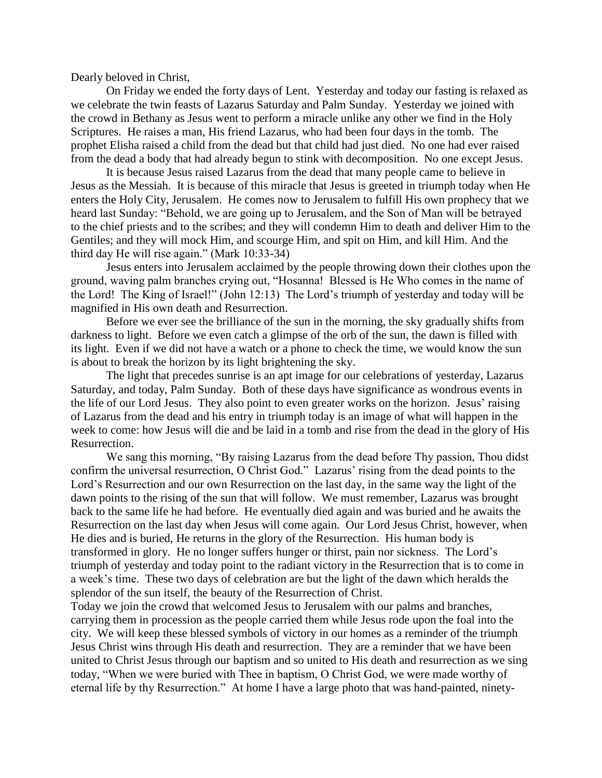Dearly beloved in Christ,

On Friday we ended the forty days of Lent. Yesterday and today our fasting is relaxed as we celebrate the twin feasts of Lazarus Saturday and Palm Sunday. Yesterday we joined with the crowd in Bethany as Jesus went to perform a miracle unlike any other we find in the Holy Scriptures. He raises a man, His friend Lazarus, who had been four days in the tomb. The prophet Elisha raised a child from the dead but that child had just died. No one had ever raised from the dead a body that had already begun to stink with decomposition. No one except Jesus.

It is because Jesus raised Lazarus from the dead that many people came to believe in Jesus as the Messiah. It is because of this miracle that Jesus is greeted in triumph today when He enters the Holy City, Jerusalem. He comes now to Jerusalem to fulfill His own prophecy that we heard last Sunday: "Behold, we are going up to Jerusalem, and the Son of Man will be betrayed to the chief priests and to the scribes; and they will condemn Him to death and deliver Him to the Gentiles; and they will mock Him, and scourge Him, and spit on Him, and kill Him. And the third day He will rise again." (Mark 10:33-34)

Jesus enters into Jerusalem acclaimed by the people throwing down their clothes upon the ground, waving palm branches crying out, "Hosanna! Blessed is He Who comes in the name of the Lord! The King of Israel!" (John 12:13) The Lord's triumph of yesterday and today will be magnified in His own death and Resurrection.

Before we ever see the brilliance of the sun in the morning, the sky gradually shifts from darkness to light. Before we even catch a glimpse of the orb of the sun, the dawn is filled with its light. Even if we did not have a watch or a phone to check the time, we would know the sun is about to break the horizon by its light brightening the sky.

The light that precedes sunrise is an apt image for our celebrations of yesterday, Lazarus Saturday, and today, Palm Sunday. Both of these days have significance as wondrous events in the life of our Lord Jesus. They also point to even greater works on the horizon. Jesus' raising of Lazarus from the dead and his entry in triumph today is an image of what will happen in the week to come: how Jesus will die and be laid in a tomb and rise from the dead in the glory of His Resurrection.

We sang this morning, "By raising Lazarus from the dead before Thy passion, Thou didst confirm the universal resurrection, O Christ God." Lazarus' rising from the dead points to the Lord's Resurrection and our own Resurrection on the last day, in the same way the light of the dawn points to the rising of the sun that will follow. We must remember, Lazarus was brought back to the same life he had before. He eventually died again and was buried and he awaits the Resurrection on the last day when Jesus will come again. Our Lord Jesus Christ, however, when He dies and is buried, He returns in the glory of the Resurrection. His human body is transformed in glory. He no longer suffers hunger or thirst, pain nor sickness. The Lord's triumph of yesterday and today point to the radiant victory in the Resurrection that is to come in a week's time. These two days of celebration are but the light of the dawn which heralds the splendor of the sun itself, the beauty of the Resurrection of Christ.

Today we join the crowd that welcomed Jesus to Jerusalem with our palms and branches, carrying them in procession as the people carried them while Jesus rode upon the foal into the city. We will keep these blessed symbols of victory in our homes as a reminder of the triumph Jesus Christ wins through His death and resurrection. They are a reminder that we have been united to Christ Jesus through our baptism and so united to His death and resurrection as we sing today, "When we were buried with Thee in baptism, O Christ God, we were made worthy of eternal life by thy Resurrection." At home I have a large photo that was hand-painted, ninety